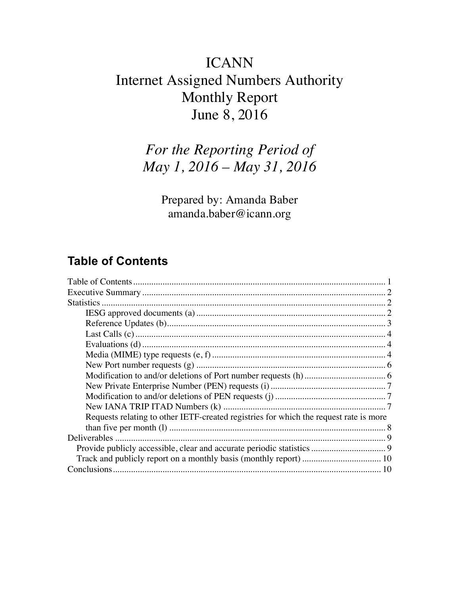# ICANN Internet Assigned Numbers Authority Monthly Report June 8, 2016

# *For the Reporting Period of May 1, 2016 – May 31, 2016*

Prepared by: Amanda Baber amanda.baber@icann.org

## **Table of Contents**

| Requests relating to other IETF-created registries for which the request rate is more |
|---------------------------------------------------------------------------------------|
|                                                                                       |
|                                                                                       |
|                                                                                       |
|                                                                                       |
|                                                                                       |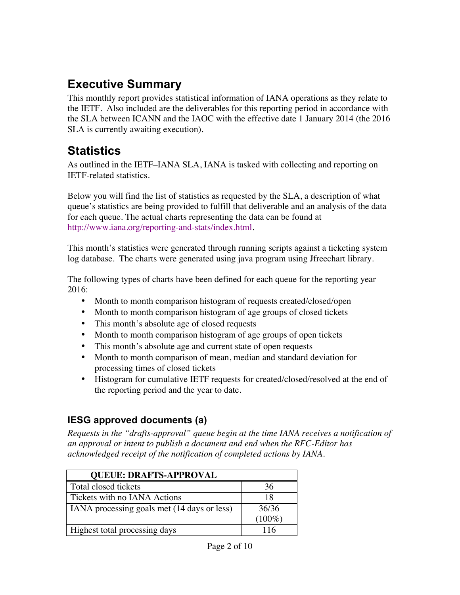## **Executive Summary**

This monthly report provides statistical information of IANA operations as they relate to the IETF. Also included are the deliverables for this reporting period in accordance with the SLA between ICANN and the IAOC with the effective date 1 January 2014 (the 2016 SLA is currently awaiting execution).

## **Statistics**

As outlined in the IETF–IANA SLA, IANA is tasked with collecting and reporting on IETF-related statistics.

Below you will find the list of statistics as requested by the SLA, a description of what queue's statistics are being provided to fulfill that deliverable and an analysis of the data for each queue. The actual charts representing the data can be found at http://www.iana.org/reporting-and-stats/index.html.

This month's statistics were generated through running scripts against a ticketing system log database. The charts were generated using java program using Jfreechart library.

The following types of charts have been defined for each queue for the reporting year 2016:

- Month to month comparison histogram of requests created/closed/open
- Month to month comparison histogram of age groups of closed tickets
- This month's absolute age of closed requests
- Month to month comparison histogram of age groups of open tickets
- This month's absolute age and current state of open requests
- Month to month comparison of mean, median and standard deviation for processing times of closed tickets
- Histogram for cumulative IETF requests for created/closed/resolved at the end of the reporting period and the year to date.

### **IESG approved documents (a)**

*Requests in the "drafts-approval" queue begin at the time IANA receives a notification of an approval or intent to publish a document and end when the RFC-Editor has acknowledged receipt of the notification of completed actions by IANA.*

| <b>QUEUE: DRAFTS-APPROVAL</b>               |           |
|---------------------------------------------|-----------|
| Total closed tickets                        | 36        |
| Tickets with no IANA Actions                | 18        |
| IANA processing goals met (14 days or less) | 36/36     |
|                                             | $(100\%)$ |
| Highest total processing days               | 116       |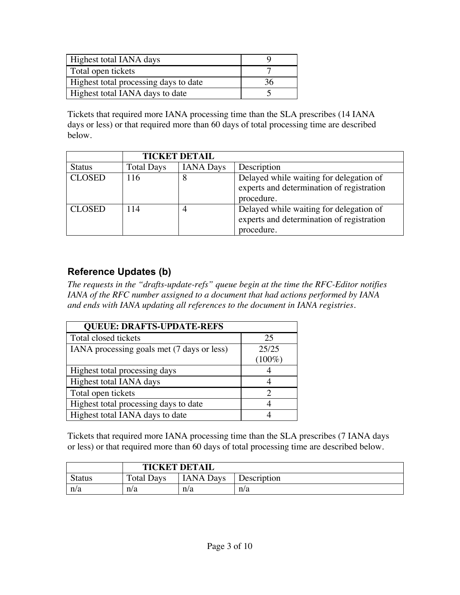| Highest total IANA days               |  |
|---------------------------------------|--|
| Total open tickets                    |  |
| Highest total processing days to date |  |
| Highest total IANA days to date       |  |

Tickets that required more IANA processing time than the SLA prescribes (14 IANA days or less) or that required more than 60 days of total processing time are described below.

|               | <b>TICKET DETAIL</b> |                  |                                                                                                    |
|---------------|----------------------|------------------|----------------------------------------------------------------------------------------------------|
| <b>Status</b> | <b>Total Days</b>    | <b>IANA</b> Days | Description                                                                                        |
| <b>CLOSED</b> | 116                  | 8                | Delayed while waiting for delegation of<br>experts and determination of registration<br>procedure. |
| <b>CLOSED</b> | 114                  | 4                | Delayed while waiting for delegation of<br>experts and determination of registration<br>procedure. |

#### **Reference Updates (b)**

*The requests in the "drafts-update-refs" queue begin at the time the RFC-Editor notifies IANA of the RFC number assigned to a document that had actions performed by IANA and ends with IANA updating all references to the document in IANA registries.*

| <b>QUEUE: DRAFTS-UPDATE-REFS</b>           |           |  |  |  |
|--------------------------------------------|-----------|--|--|--|
| Total closed tickets                       | 25        |  |  |  |
| IANA processing goals met (7 days or less) | 25/25     |  |  |  |
|                                            | $(100\%)$ |  |  |  |
| Highest total processing days              |           |  |  |  |
| Highest total IANA days                    |           |  |  |  |
| Total open tickets                         |           |  |  |  |
| Highest total processing days to date      |           |  |  |  |
| Highest total IANA days to date            |           |  |  |  |

Tickets that required more IANA processing time than the SLA prescribes (7 IANA days or less) or that required more than 60 days of total processing time are described below.

|               | <b>TICKET DETAIL</b> |                  |             |
|---------------|----------------------|------------------|-------------|
| <b>Status</b> | <b>Total Days</b>    | <b>IANA</b> Days | Description |
| n/a           | n/a                  | n/a              | n/a         |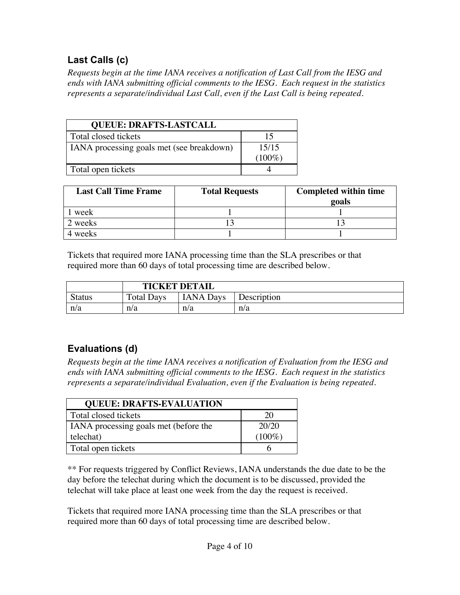### **Last Calls (c)**

*Requests begin at the time IANA receives a notification of Last Call from the IESG and ends with IANA submitting official comments to the IESG. Each request in the statistics represents a separate/individual Last Call, even if the Last Call is being repeated.*

| <b>QUEUE: DRAFTS-LASTCALL</b>             |           |  |  |
|-------------------------------------------|-----------|--|--|
| Total closed tickets                      | 15        |  |  |
| IANA processing goals met (see breakdown) | 15/15     |  |  |
|                                           | $(100\%)$ |  |  |
| Total open tickets                        |           |  |  |

| <b>Last Call Time Frame</b> | <b>Total Requests</b> | <b>Completed within time</b><br>20als |
|-----------------------------|-----------------------|---------------------------------------|
| week                        |                       |                                       |
| 2 weeks                     |                       |                                       |
| weeks                       |                       |                                       |

Tickets that required more IANA processing time than the SLA prescribes or that required more than 60 days of total processing time are described below.

|               | <b>TICKET DETAIL</b> |                  |             |
|---------------|----------------------|------------------|-------------|
| <b>Status</b> | <b>Total Days</b>    | <b>IANA Days</b> | Description |
| n/a           | n/a                  | n/a              | n/a         |

## **Evaluations (d)**

*Requests begin at the time IANA receives a notification of Evaluation from the IESG and ends with IANA submitting official comments to the IESG. Each request in the statistics represents a separate/individual Evaluation, even if the Evaluation is being repeated.*

| <b>QUEUE: DRAFTS-EVALUATION</b>       |           |  |  |
|---------------------------------------|-----------|--|--|
| Total closed tickets                  | 20        |  |  |
| IANA processing goals met (before the | 20/20     |  |  |
| telechat)                             | $(100\%)$ |  |  |
| Total open tickets                    |           |  |  |

\*\* For requests triggered by Conflict Reviews, IANA understands the due date to be the day before the telechat during which the document is to be discussed, provided the telechat will take place at least one week from the day the request is received.

Tickets that required more IANA processing time than the SLA prescribes or that required more than 60 days of total processing time are described below.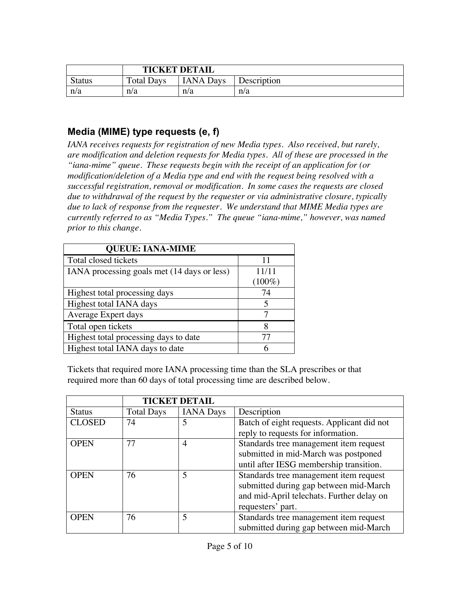|               | <b>TICKET DETAIL</b> |                  |             |
|---------------|----------------------|------------------|-------------|
| <b>Status</b> | <b>Total Days</b>    | <b>IANA</b> Days | Description |
| n/a           | n/a                  | n/a              | n/a         |

#### **Media (MIME) type requests (e, f)**

*IANA receives requests for registration of new Media types. Also received, but rarely, are modification and deletion requests for Media types. All of these are processed in the "iana-mime" queue. These requests begin with the receipt of an application for (or modification/deletion of a Media type and end with the request being resolved with a successful registration, removal or modification. In some cases the requests are closed due to withdrawal of the request by the requester or via administrative closure, typically due to lack of response from the requester. We understand that MIME Media types are currently referred to as "Media Types." The queue "iana-mime," however, was named prior to this change.*

| <b>QUEUE: IANA-MIME</b>                     |           |  |  |
|---------------------------------------------|-----------|--|--|
| Total closed tickets                        | 11        |  |  |
| IANA processing goals met (14 days or less) | 11/11     |  |  |
|                                             | $(100\%)$ |  |  |
| Highest total processing days               | 74        |  |  |
| Highest total IANA days                     | 5         |  |  |
| Average Expert days                         |           |  |  |
| Total open tickets                          | 8         |  |  |
| Highest total processing days to date       | 77        |  |  |
| Highest total IANA days to date             |           |  |  |

Tickets that required more IANA processing time than the SLA prescribes or that required more than 60 days of total processing time are described below.

|               | <b>TICKET DETAIL</b> |                  |                                            |
|---------------|----------------------|------------------|--------------------------------------------|
| <b>Status</b> | <b>Total Days</b>    | <b>IANA</b> Days | Description                                |
| <b>CLOSED</b> | 74                   | 5                | Batch of eight requests. Applicant did not |
|               |                      |                  | reply to requests for information.         |
| <b>OPEN</b>   | 77                   | 4                | Standards tree management item request     |
|               |                      |                  | submitted in mid-March was postponed       |
|               |                      |                  | until after IESG membership transition.    |
| <b>OPEN</b>   | 76                   | 5                | Standards tree management item request     |
|               |                      |                  | submitted during gap between mid-March     |
|               |                      |                  | and mid-April telechats. Further delay on  |
|               |                      |                  | requesters' part.                          |
| <b>OPEN</b>   | 76                   | 5                | Standards tree management item request     |
|               |                      |                  | submitted during gap between mid-March     |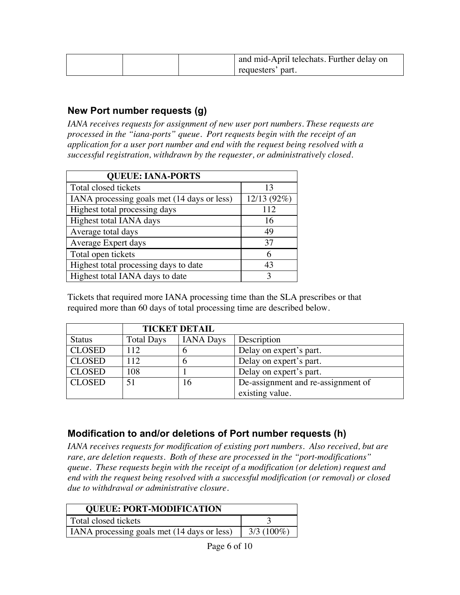|  | and mid-April telechats. Further delay on |
|--|-------------------------------------------|
|  | requesters' part.                         |

#### **New Port number requests (g)**

IANA receives requests for assignment of new user port numbers. These requests are *processed in the "iana-ports" queue. Port requests begin with the receipt of an application for a user port number and end with the request being resolved with a successful registration, withdrawn by the requester, or administratively closed.*

| <b>QUEUE: IANA-PORTS</b>                    |             |  |
|---------------------------------------------|-------------|--|
| Total closed tickets                        | 13          |  |
| IANA processing goals met (14 days or less) | 12/13 (92%) |  |
| Highest total processing days               | 112         |  |
| Highest total IANA days                     | 16          |  |
| Average total days                          | 49          |  |
| Average Expert days                         | 37          |  |
| Total open tickets                          | 6           |  |
| Highest total processing days to date       | 43          |  |
| Highest total IANA days to date             | 3           |  |

Tickets that required more IANA processing time than the SLA prescribes or that required more than 60 days of total processing time are described below.

|               | <b>TICKET DETAIL</b> |                  |                                    |
|---------------|----------------------|------------------|------------------------------------|
| <b>Status</b> | <b>Total Days</b>    | <b>IANA</b> Days | Description                        |
| <b>CLOSED</b> | 112                  | O                | Delay on expert's part.            |
| <b>CLOSED</b> | 112                  |                  | Delay on expert's part.            |
| <b>CLOSED</b> | 108                  |                  | Delay on expert's part.            |
| <b>CLOSED</b> | 51                   | 16               | De-assignment and re-assignment of |
|               |                      |                  | existing value.                    |

#### **Modification to and/or deletions of Port number requests (h)**

*IANA receives requests for modification of existing port numbers. Also received, but are rare, are deletion requests. Both of these are processed in the "port-modifications" queue. These requests begin with the receipt of a modification (or deletion) request and end with the request being resolved with a successful modification (or removal) or closed due to withdrawal or administrative closure.*

| <b>QUEUE: PORT-MODIFICATION</b>                             |  |  |
|-------------------------------------------------------------|--|--|
| Total closed tickets                                        |  |  |
| $3/3(100\%)$<br>IANA processing goals met (14 days or less) |  |  |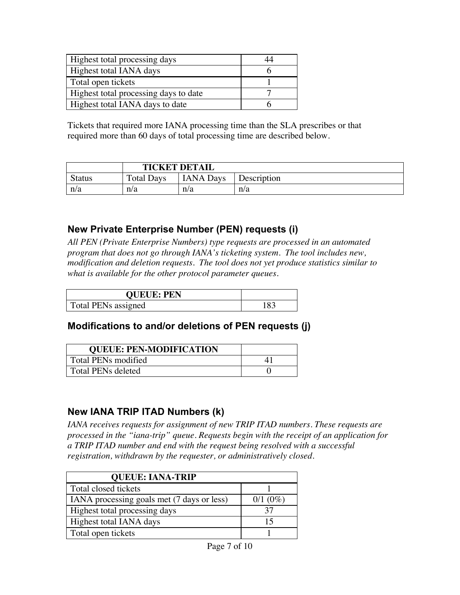| Highest total processing days         |  |
|---------------------------------------|--|
| Highest total IANA days               |  |
| Total open tickets                    |  |
| Highest total processing days to date |  |
| Highest total IANA days to date       |  |

Tickets that required more IANA processing time than the SLA prescribes or that required more than 60 days of total processing time are described below.

|               | <b>TICKET DETAIL</b> |                  |             |
|---------------|----------------------|------------------|-------------|
| <b>Status</b> | <b>Total Days</b>    | <b>IANA Days</b> | Description |
| n/a           | n/a                  | n/a              | n/a         |

#### **New Private Enterprise Number (PEN) requests (i)**

*All PEN (Private Enterprise Numbers) type requests are processed in an automated program that does not go through IANA's ticketing system. The tool includes new, modification and deletion requests. The tool does not yet produce statistics similar to what is available for the other protocol parameter queues.*

| <b>QUEUE: PEN</b>   |      |
|---------------------|------|
| Total PENs assigned | 83 ا |

#### **Modifications to and/or deletions of PEN requests (j)**

| <b>QUEUE: PEN-MODIFICATION</b> |  |
|--------------------------------|--|
| Total PENs modified            |  |
| <b>Total PENs deleted</b>      |  |

#### **New IANA TRIP ITAD Numbers (k)**

IANA receives requests for assignment of new TRIP ITAD numbers. These requests are *processed in the "iana-trip" queue. Requests begin with the receipt of an application for a TRIP ITAD number and end with the request being resolved with a successful registration, withdrawn by the requester, or administratively closed.*

| <b>QUEUE: IANA-TRIP</b>                    |               |
|--------------------------------------------|---------------|
| Total closed tickets                       |               |
| IANA processing goals met (7 days or less) | $0/1$ $(0\%)$ |
| Highest total processing days              | 37            |
| Highest total IANA days                    | 15            |
| Total open tickets                         |               |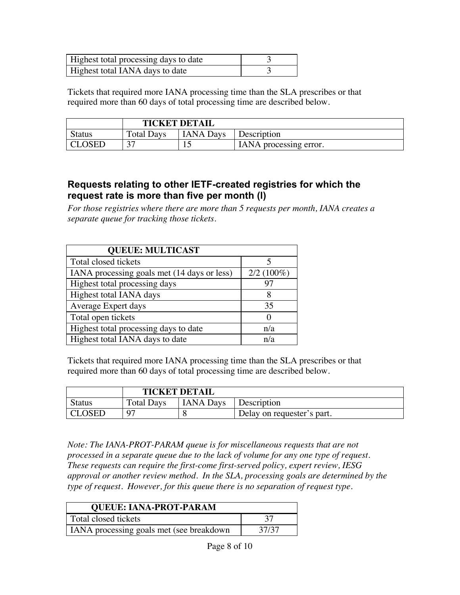| Highest total processing days to date |  |
|---------------------------------------|--|
| Highest total IANA days to date       |  |

Tickets that required more IANA processing time than the SLA prescribes or that required more than 60 days of total processing time are described below.

|               | <b>TICKET DETAIL</b> |                  |                        |
|---------------|----------------------|------------------|------------------------|
| <b>Status</b> | <b>Total Days</b>    | <b>IANA</b> Days | Description            |
| <b>CLOSED</b> | n <del>n</del>       | ∸                | IANA processing error. |

#### **Requests relating to other IETF-created registries for which the request rate is more than five per month (l)**

*For those registries where there are more than 5 requests per month, IANA creates a separate queue for tracking those tickets.* 

| <b>QUEUE: MULTICAST</b>                     |              |  |  |
|---------------------------------------------|--------------|--|--|
| Total closed tickets                        |              |  |  |
| IANA processing goals met (14 days or less) | $2/2(100\%)$ |  |  |
| Highest total processing days               | 97           |  |  |
| Highest total IANA days                     | 8            |  |  |
| Average Expert days                         | 35           |  |  |
| Total open tickets                          |              |  |  |
| Highest total processing days to date       | n/a          |  |  |
| Highest total IANA days to date             | n/a          |  |  |

Tickets that required more IANA processing time than the SLA prescribes or that required more than 60 days of total processing time are described below.

|               | <b>TICKET DETAIL</b> |                  |                            |
|---------------|----------------------|------------------|----------------------------|
| <b>Status</b> | <b>Total Days</b>    | <b>IANA Days</b> | <b>Description</b>         |
| CLOSED        |                      |                  | Delay on requester's part. |

*Note: The IANA-PROT-PARAM queue is for miscellaneous requests that are not processed in a separate queue due to the lack of volume for any one type of request. These requests can require the first-come first-served policy, expert review, IESG approval or another review method. In the SLA, processing goals are determined by the type of request. However, for this queue there is no separation of request type.*

| <b>QUEUE: IANA-PROT-PARAM</b>            |       |  |
|------------------------------------------|-------|--|
| Total closed tickets                     |       |  |
| IANA processing goals met (see breakdown | 37/37 |  |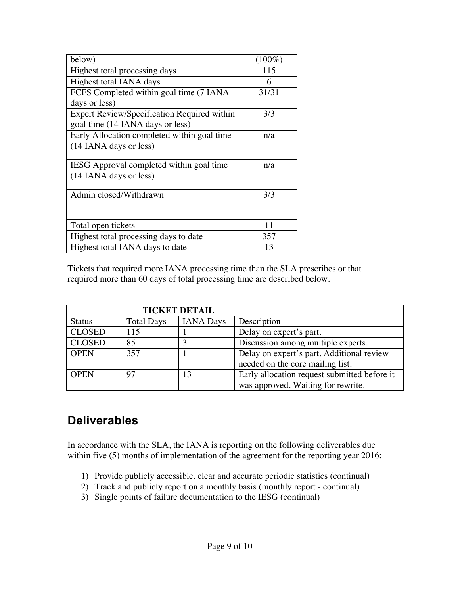| below)                                      | $(100\%)$ |
|---------------------------------------------|-----------|
| Highest total processing days               | 115       |
| Highest total IANA days                     | 6         |
| FCFS Completed within goal time (7 IANA)    | 31/31     |
| days or less)                               |           |
| Expert Review/Specification Required within | 3/3       |
| goal time (14 IANA days or less)            |           |
| Early Allocation completed within goal time | n/a       |
| (14 IANA days or less)                      |           |
|                                             |           |
| IESG Approval completed within goal time    | n/a       |
| (14 IANA days or less)                      |           |
|                                             |           |
| Admin closed/Withdrawn                      | 3/3       |
|                                             |           |
|                                             |           |
| Total open tickets                          | 11        |
| Highest total processing days to date       | 357       |
| Highest total IANA days to date             | 13        |

Tickets that required more IANA processing time than the SLA prescribes or that required more than 60 days of total processing time are described below.

|               |                   | <b>TICKET DETAIL</b> |                                              |
|---------------|-------------------|----------------------|----------------------------------------------|
| <b>Status</b> | <b>Total Days</b> | <b>IANA Days</b>     | Description                                  |
| <b>CLOSED</b> | 115               |                      | Delay on expert's part.                      |
| <b>CLOSED</b> | 85                |                      | Discussion among multiple experts.           |
| <b>OPEN</b>   | 357               |                      | Delay on expert's part. Additional review    |
|               |                   |                      | needed on the core mailing list.             |
| <b>OPEN</b>   | 97                | 13                   | Early allocation request submitted before it |
|               |                   |                      | was approved. Waiting for rewrite.           |

## **Deliverables**

In accordance with the SLA, the IANA is reporting on the following deliverables due within five (5) months of implementation of the agreement for the reporting year 2016:

- 1) Provide publicly accessible, clear and accurate periodic statistics (continual)
- 2) Track and publicly report on a monthly basis (monthly report continual)
- 3) Single points of failure documentation to the IESG (continual)